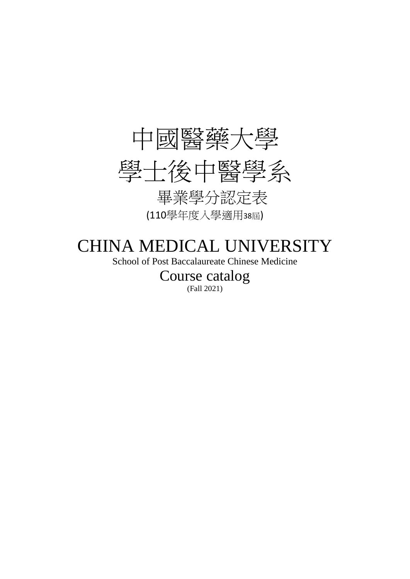

# CHINA MEDICAL UNIVERSITY

School of Post Baccalaureate Chinese Medicine

Course catalog (Fall 2021)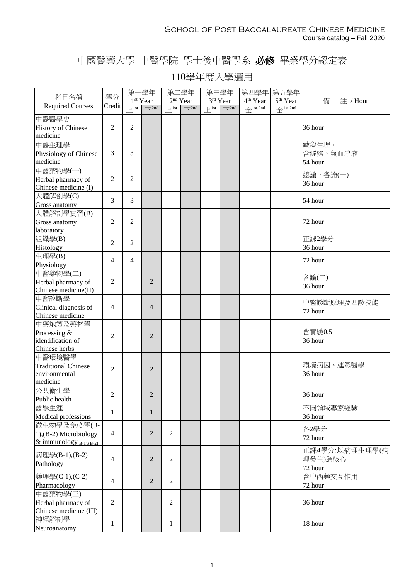## 中國醫藥大學 中醫學院 學士後中醫學系 必修 畢業學分認定表

|                               | 學分             | 第一學年                         |                                        | 第二學年                         |                                | 第三學年                                  |                                        | 第四學年 第五學年            |                      |                |
|-------------------------------|----------------|------------------------------|----------------------------------------|------------------------------|--------------------------------|---------------------------------------|----------------------------------------|----------------------|----------------------|----------------|
| 科目名稱                          |                |                              | 1 <sup>st</sup> Year                   | 2 <sup>nd</sup> Year         |                                |                                       | 3rd Year                               | 4 <sup>th</sup> Year | 5 <sup>th</sup> Year | 備<br>註 / Hour  |
| <b>Required Courses</b>       | Credit         | $\overline{\phantom{1}}$ lst | $\overline{\mathrm{K}}$ <sup>2nd</sup> | $\left  \frac{1}{1} \right $ | $\overline{\mathcal{F}}^{2nd}$ | $\left  \cdot \right $ <sup>1st</sup> | $\overline{\mathrm{K}}$ <sup>2nd</sup> | $4$ 1st,2nd          | $4$ 1st,2nd          |                |
| 中醫醫學史                         |                |                              |                                        |                              |                                |                                       |                                        |                      |                      |                |
| <b>History of Chinese</b>     | $\mathfrak{2}$ | 2                            |                                        |                              |                                |                                       |                                        |                      |                      | 36 hour        |
| medicine                      |                |                              |                                        |                              |                                |                                       |                                        |                      |                      |                |
| 中醫生理學                         |                |                              |                                        |                              |                                |                                       |                                        |                      |                      | 藏象生理,          |
| Physiology of Chinese         | $\mathfrak{Z}$ | 3                            |                                        |                              |                                |                                       |                                        |                      |                      | 含經絡、氣血津液       |
| medicine                      |                |                              |                                        |                              |                                |                                       |                                        |                      |                      | 54 hour        |
| 中醫藥物學(一)                      |                |                              |                                        |                              |                                |                                       |                                        |                      |                      |                |
| Herbal pharmacy of            | $\mathfrak{2}$ | 2                            |                                        |                              |                                |                                       |                                        |                      |                      | 總論、各論(一)       |
| Chinese medicine (I)          |                |                              |                                        |                              |                                |                                       |                                        |                      |                      | 36 hour        |
| 大體解剖學(C)                      |                |                              |                                        |                              |                                |                                       |                                        |                      |                      |                |
| Gross anatomy                 | 3              | 3                            |                                        |                              |                                |                                       |                                        |                      |                      | 54 hour        |
| 大體解剖學實習(B)                    |                |                              |                                        |                              |                                |                                       |                                        |                      |                      |                |
|                               | 2              | 2                            |                                        |                              |                                |                                       |                                        |                      |                      | 72 hour        |
| Gross anatomy<br>laboratory   |                |                              |                                        |                              |                                |                                       |                                        |                      |                      |                |
|                               |                |                              |                                        |                              |                                |                                       |                                        |                      |                      | 正課2學分          |
| 組織學(B)                        | $\overline{2}$ | 2                            |                                        |                              |                                |                                       |                                        |                      |                      | 36 hour        |
| Histology                     |                |                              |                                        |                              |                                |                                       |                                        |                      |                      |                |
| 生理學(B)                        | $\overline{4}$ | 4                            |                                        |                              |                                |                                       |                                        |                      |                      | 72 hour        |
| Physiology                    |                |                              |                                        |                              |                                |                                       |                                        |                      |                      |                |
| 中醫藥物學(二)                      |                |                              |                                        |                              |                                |                                       |                                        |                      |                      | 各論(二)          |
| Herbal pharmacy of            | $\overline{2}$ |                              | $\overline{2}$                         |                              |                                |                                       |                                        |                      |                      | 36 hour        |
| Chinese medicine(II)          |                |                              |                                        |                              |                                |                                       |                                        |                      |                      |                |
| 中醫診斷學                         |                |                              |                                        |                              |                                |                                       |                                        |                      |                      | 中醫診斷原理及四診技能    |
| Clinical diagnosis of         | 4              |                              | $\overline{4}$                         |                              |                                |                                       |                                        |                      |                      | 72 hour        |
| Chinese medicine              |                |                              |                                        |                              |                                |                                       |                                        |                      |                      |                |
| 中藥炮製及藥材學                      |                |                              |                                        |                              |                                |                                       |                                        |                      |                      |                |
| Processing &                  | $\overline{2}$ |                              | $\overline{2}$                         |                              |                                |                                       |                                        |                      |                      | 含實驗0.5         |
| identification of             |                |                              |                                        |                              |                                |                                       |                                        |                      |                      | 36 hour        |
| Chinese herbs                 |                |                              |                                        |                              |                                |                                       |                                        |                      |                      |                |
| 中醫環境醫學                        |                |                              |                                        |                              |                                |                                       |                                        |                      |                      |                |
| <b>Traditional Chinese</b>    | $\overline{2}$ |                              | $\overline{2}$                         |                              |                                |                                       |                                        |                      |                      | 環境病因、運氣醫學      |
| environmental                 |                |                              |                                        |                              |                                |                                       |                                        |                      |                      | 36 hour        |
| medicine                      |                |                              |                                        |                              |                                |                                       |                                        |                      |                      |                |
| 公共衛生學                         | $\overline{2}$ |                              | $\overline{2}$                         |                              |                                |                                       |                                        |                      |                      | 36 hour        |
| Public health                 |                |                              |                                        |                              |                                |                                       |                                        |                      |                      |                |
| 醫學生涯                          | 1              |                              | $\mathbf{1}$                           |                              |                                |                                       |                                        |                      |                      | 不同領域專家經驗       |
| Medical professions           |                |                              |                                        |                              |                                |                                       |                                        |                      |                      | 36 hour        |
| 微生物學及免疫學(B-                   |                |                              |                                        |                              |                                |                                       |                                        |                      |                      | 各2學分           |
| $1$ , (B-2) Microbiology      | $\overline{4}$ |                              | $\overline{2}$                         | $\overline{2}$               |                                |                                       |                                        |                      |                      | 72 hour        |
| & immunology $_{(B-1),(B-2)}$ |                |                              |                                        |                              |                                |                                       |                                        |                      |                      |                |
| 病理學(B-1),(B-2)                |                |                              |                                        |                              |                                |                                       |                                        |                      |                      | 正課4學分:以病理生理學(病 |
|                               | $\overline{4}$ |                              | $\overline{2}$                         | $\overline{2}$               |                                |                                       |                                        |                      |                      | 理發生)為核心        |
| Pathology                     |                |                              |                                        |                              |                                |                                       |                                        |                      |                      | 72 hour        |
| 藥理學(C-1),(C-2)                |                |                              |                                        |                              |                                |                                       |                                        |                      |                      | 含中西藥交互作用       |
| Pharmacology                  | $\overline{4}$ |                              | $\overline{2}$                         | $\overline{2}$               |                                |                                       |                                        |                      |                      | 72 hour        |
| 中醫藥物學(三)                      |                |                              |                                        |                              |                                |                                       |                                        |                      |                      |                |
| Herbal pharmacy of            | $\overline{2}$ |                              |                                        | $\overline{2}$               |                                |                                       |                                        |                      |                      | 36 hour        |
| Chinese medicine (III)        |                |                              |                                        |                              |                                |                                       |                                        |                      |                      |                |
| 神經解剖學                         |                |                              |                                        |                              |                                |                                       |                                        |                      |                      |                |
| Neuroanatomy                  | 1              |                              |                                        | 1                            |                                |                                       |                                        |                      |                      | 18 hour        |
|                               |                |                              |                                        |                              |                                |                                       |                                        |                      |                      |                |

## 110學年度入學適用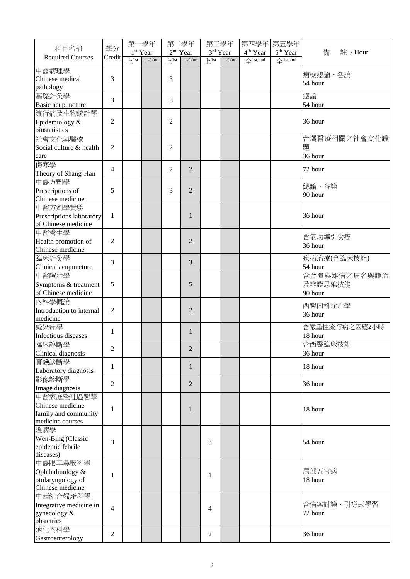| 科目名稱                          | 學分             | 第一學年                         |                                                           | 第二學年<br>$2nd$ Year        |                                        | 第三學年<br>3rd Year             |                                | 第四學年 第五學年                                               |                                                        |               |
|-------------------------------|----------------|------------------------------|-----------------------------------------------------------|---------------------------|----------------------------------------|------------------------------|--------------------------------|---------------------------------------------------------|--------------------------------------------------------|---------------|
| <b>Required Courses</b>       | Credit         | $\overline{\phantom{1}}$ lst | 1 <sup>st</sup> Year<br>$\overline{\bigtriangledown}$ 2nd | $\mathbb{H}^{\text{1st}}$ | $\overline{\mathrm{S}}$ <sup>2nd</sup> | $\left  \frac{1}{1} \right $ | $\overline{\mathcal{F}}^{2nd}$ | 4 <sup>th</sup> Year<br>$\triangleq$ <sup>1st,2nd</sup> | 5 <sup>th</sup> Year<br>$\triangle$ <sup>1st,2nd</sup> | 備<br>註 / Hour |
|                               |                |                              |                                                           |                           |                                        |                              |                                |                                                         |                                                        |               |
| 中醫病理學<br>Chinese medical      | 3              |                              |                                                           | 3                         |                                        |                              |                                |                                                         |                                                        | 病機總論、各論       |
| pathology                     |                |                              |                                                           |                           |                                        |                              |                                |                                                         |                                                        | 54 hour       |
| 基礎針灸學                         |                |                              |                                                           |                           |                                        |                              |                                |                                                         |                                                        | 總論            |
| Basic acupuncture             | 3              |                              |                                                           | 3                         |                                        |                              |                                |                                                         |                                                        | 54 hour       |
| 流行病及生物統計學                     |                |                              |                                                           |                           |                                        |                              |                                |                                                         |                                                        |               |
| Epidemiology &                | $\overline{c}$ |                              |                                                           | $\overline{2}$            |                                        |                              |                                |                                                         |                                                        | 36 hour       |
| biostatistics                 |                |                              |                                                           |                           |                                        |                              |                                |                                                         |                                                        |               |
| 社會文化與醫療                       |                |                              |                                                           |                           |                                        |                              |                                |                                                         |                                                        | 台灣醫療相關之社會文化議  |
| Social culture & health       | $\overline{2}$ |                              |                                                           | $\overline{2}$            |                                        |                              |                                |                                                         |                                                        | 題             |
| care                          |                |                              |                                                           |                           |                                        |                              |                                |                                                         |                                                        | 36 hour       |
| 傷寒學                           |                |                              |                                                           |                           |                                        |                              |                                |                                                         |                                                        |               |
| Theory of Shang-Han           | 4              |                              |                                                           | 2                         | 2                                      |                              |                                |                                                         |                                                        | 72 hour       |
| 中醫方劑學                         |                |                              |                                                           |                           |                                        |                              |                                |                                                         |                                                        |               |
| Prescriptions of              | 5              |                              |                                                           | 3                         | $\overline{2}$                         |                              |                                |                                                         |                                                        | 總論、各論         |
| Chinese medicine              |                |                              |                                                           |                           |                                        |                              |                                |                                                         |                                                        | 90 hour       |
| 中醫方劑學實驗                       |                |                              |                                                           |                           |                                        |                              |                                |                                                         |                                                        |               |
| Prescriptions laboratory      | $\mathbf{1}$   |                              |                                                           |                           | $\mathbf{1}$                           |                              |                                |                                                         |                                                        | 36 hour       |
| of Chinese medicine           |                |                              |                                                           |                           |                                        |                              |                                |                                                         |                                                        |               |
| 中醫養生學                         |                |                              |                                                           |                           |                                        |                              |                                |                                                         |                                                        |               |
| Health promotion of           | $\mathfrak{2}$ |                              |                                                           |                           | $\overline{2}$                         |                              |                                |                                                         |                                                        | 含氣功導引食療       |
| Chinese medicine              |                |                              |                                                           |                           |                                        |                              |                                |                                                         |                                                        | 36 hour       |
| 臨床針灸學                         |                |                              |                                                           |                           | $\overline{3}$                         |                              |                                |                                                         |                                                        | 疾病治療(含臨床技能)   |
| Clinical acupuncture          | 3              |                              |                                                           |                           |                                        |                              |                                |                                                         |                                                        | 54 hour       |
| 中醫證治學                         |                |                              |                                                           |                           |                                        |                              |                                |                                                         |                                                        | 含金匱與雜病之病名與證治  |
| Symptoms & treatment          | 5              |                              |                                                           |                           | 5                                      |                              |                                |                                                         |                                                        | 及辨證思維技能       |
| of Chinese medicine           |                |                              |                                                           |                           |                                        |                              |                                |                                                         |                                                        | 90 hour       |
| 內科學概論                         |                |                              |                                                           |                           |                                        |                              |                                |                                                         |                                                        | 西醫內科症治學       |
| Introduction to internal      | $\overline{2}$ |                              |                                                           |                           | $\overline{2}$                         |                              |                                |                                                         |                                                        | 36 hour       |
| medicine                      |                |                              |                                                           |                           |                                        |                              |                                |                                                         |                                                        |               |
| 感染症學                          | $\mathbf{1}$   |                              |                                                           |                           | $\mathbf{1}$                           |                              |                                |                                                         |                                                        | 含嚴重性流行病之因應2小時 |
| Infectious diseases           |                |                              |                                                           |                           |                                        |                              |                                |                                                         |                                                        | 18 hour       |
| 臨床診斷學                         | 2              |                              |                                                           |                           | 2                                      |                              |                                |                                                         |                                                        | 含西醫臨床技能       |
| Clinical diagnosis            |                |                              |                                                           |                           |                                        |                              |                                |                                                         |                                                        | 36 hour       |
| 實驗診斷學                         | 1              |                              |                                                           |                           | $\mathbf{1}$                           |                              |                                |                                                         |                                                        | 18 hour       |
| Laboratory diagnosis          |                |                              |                                                           |                           |                                        |                              |                                |                                                         |                                                        |               |
| 影像診斷學                         | $\overline{c}$ |                              |                                                           |                           | $\overline{2}$                         |                              |                                |                                                         |                                                        | 36 hour       |
| Image diagnosis               |                |                              |                                                           |                           |                                        |                              |                                |                                                         |                                                        |               |
| 中醫家庭暨社區醫學                     |                |                              |                                                           |                           |                                        |                              |                                |                                                         |                                                        |               |
| Chinese medicine              | 1              |                              |                                                           |                           | 1                                      |                              |                                |                                                         |                                                        | 18 hour       |
| family and community          |                |                              |                                                           |                           |                                        |                              |                                |                                                         |                                                        |               |
| medicine courses              |                |                              |                                                           |                           |                                        |                              |                                |                                                         |                                                        |               |
| 溫病學                           |                |                              |                                                           |                           |                                        |                              |                                |                                                         |                                                        |               |
| Wen-Bing (Classic             | 3              |                              |                                                           |                           |                                        | 3                            |                                |                                                         |                                                        | 54 hour       |
| epidemic febrile<br>diseases) |                |                              |                                                           |                           |                                        |                              |                                |                                                         |                                                        |               |
| 中醫眼耳鼻喉科學                      |                |                              |                                                           |                           |                                        |                              |                                |                                                         |                                                        |               |
| Ophthalmology &               |                |                              |                                                           |                           |                                        |                              |                                |                                                         |                                                        | 局部五官病         |
| otolaryngology of             | $\mathbf{1}$   |                              |                                                           |                           |                                        | 1                            |                                |                                                         |                                                        | 18 hour       |
| Chinese medicine              |                |                              |                                                           |                           |                                        |                              |                                |                                                         |                                                        |               |
| 中西結合婦產科學                      |                |                              |                                                           |                           |                                        |                              |                                |                                                         |                                                        |               |
| Integrative medicine in       |                |                              |                                                           |                           |                                        |                              |                                |                                                         |                                                        | 含病案討論、引導式學習   |
| gynecology &                  | $\overline{4}$ |                              |                                                           |                           |                                        | 4                            |                                |                                                         |                                                        | 72 hour       |
| obstetrics                    |                |                              |                                                           |                           |                                        |                              |                                |                                                         |                                                        |               |
| 消化内科學                         |                |                              |                                                           |                           |                                        |                              |                                |                                                         |                                                        |               |
| Gastroenterology              | $\overline{c}$ |                              |                                                           |                           |                                        | $\mathfrak{2}$               |                                |                                                         |                                                        | 36 hour       |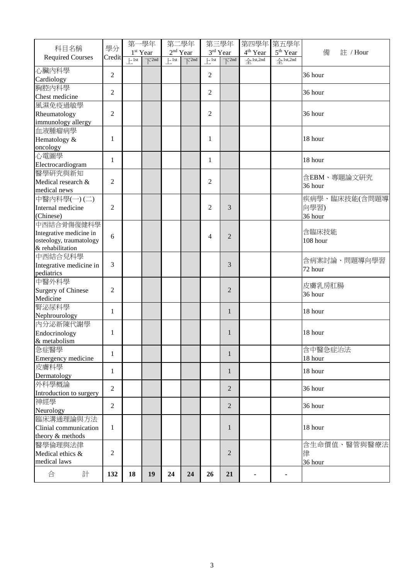|                           |                | 第一學年             |                            | 第二學年                 |                                   |                  | 第三學年                              | 第四學年 第五學年            |                                 |               |
|---------------------------|----------------|------------------|----------------------------|----------------------|-----------------------------------|------------------|-----------------------------------|----------------------|---------------------------------|---------------|
| 科目名稱                      | 學分             |                  | 1 <sup>st</sup> Year       | 2 <sup>nd</sup> Year |                                   |                  | 3rd Year                          | 4 <sup>th</sup> Year | 5 <sup>th</sup> Year            | 備<br>註 / Hour |
| <b>Required Courses</b>   | Credit         | $F^{\text{1st}}$ | $\overline{\bigwedge}$ 2nd | $\vdash$ 1st         | $\overline{\bigtriangledown}$ 2nd | $F^{\text{1st}}$ | $\overline{\bigtriangledown}$ 2nd | $4$ 1st,2nd          | $\triangleq$ <sup>1st,2nd</sup> |               |
| 心臟內科學                     |                |                  |                            |                      |                                   |                  |                                   |                      |                                 |               |
| Cardiology                | $\overline{c}$ |                  |                            |                      |                                   | 2                |                                   |                      |                                 | 36 hour       |
| 胸腔内科學                     |                |                  |                            |                      |                                   |                  |                                   |                      |                                 |               |
| Chest medicine            | $\overline{c}$ |                  |                            |                      |                                   | $\mathbf{2}$     |                                   |                      |                                 | 36 hour       |
| 風濕免疫過敏學                   |                |                  |                            |                      |                                   |                  |                                   |                      |                                 |               |
| Rheumatology              | $\overline{2}$ |                  |                            |                      |                                   | $\overline{2}$   |                                   |                      |                                 | 36 hour       |
| immunology allergy        |                |                  |                            |                      |                                   |                  |                                   |                      |                                 |               |
| 血液腫瘤病學                    |                |                  |                            |                      |                                   |                  |                                   |                      |                                 |               |
| Hematology &              | 1              |                  |                            |                      |                                   | 1                |                                   |                      |                                 | 18 hour       |
| oncology                  |                |                  |                            |                      |                                   |                  |                                   |                      |                                 |               |
| 心電圖學                      |                |                  |                            |                      |                                   |                  |                                   |                      |                                 |               |
| Electrocardiogram         | 1              |                  |                            |                      |                                   | 1                |                                   |                      |                                 | 18 hour       |
| 醫學研究與新知                   |                |                  |                            |                      |                                   |                  |                                   |                      |                                 |               |
|                           |                |                  |                            |                      |                                   |                  |                                   |                      |                                 | 含EBM、專題論文研究   |
| Medical research &        | $\overline{2}$ |                  |                            |                      |                                   | $\overline{2}$   |                                   |                      |                                 | 36 hour       |
| medical news              |                |                  |                            |                      |                                   |                  |                                   |                      |                                 |               |
| 中醫內科學(一)(二)               |                |                  |                            |                      |                                   |                  |                                   |                      |                                 | 疾病學、臨床技能(含問題導 |
| Internal medicine         | 2              |                  |                            |                      |                                   | $\overline{2}$   | 3                                 |                      |                                 | 向學習)          |
| (Chinese)                 |                |                  |                            |                      |                                   |                  |                                   |                      |                                 | 36 hour       |
| 中西結合骨傷復健科學                |                |                  |                            |                      |                                   |                  |                                   |                      |                                 |               |
| Integrative medicine in   | 6              |                  |                            |                      |                                   | 4                | $\overline{2}$                    |                      |                                 | 含臨床技能         |
| osteology, traumatology   |                |                  |                            |                      |                                   |                  |                                   |                      |                                 | 108 hour      |
| & rehabilitation          |                |                  |                            |                      |                                   |                  |                                   |                      |                                 |               |
| 中西結合兒科學                   |                |                  |                            |                      |                                   |                  |                                   |                      |                                 | 含病案討論、問題導向學習  |
| Integrative medicine in   | 3              |                  |                            |                      |                                   |                  | 3                                 |                      |                                 | 72 hour       |
| pediatrics                |                |                  |                            |                      |                                   |                  |                                   |                      |                                 |               |
| 中醫外科學                     |                |                  |                            |                      |                                   |                  |                                   |                      |                                 | 皮膚乳房肛腸        |
| <b>Surgery of Chinese</b> | $\overline{2}$ |                  |                            |                      |                                   |                  | $\overline{2}$                    |                      |                                 | 36 hour       |
| Medicine                  |                |                  |                            |                      |                                   |                  |                                   |                      |                                 |               |
| 腎泌尿科學                     | $\mathbf{1}$   |                  |                            |                      |                                   |                  | 1                                 |                      |                                 | 18 hour       |
| Nephrourology             |                |                  |                            |                      |                                   |                  |                                   |                      |                                 |               |
| 内分泌新陳代謝學                  |                |                  |                            |                      |                                   |                  |                                   |                      |                                 |               |
| Endocrinology             | 1              |                  |                            |                      |                                   |                  | 1                                 |                      |                                 | 18 hour       |
| & metabolism              |                |                  |                            |                      |                                   |                  |                                   |                      |                                 |               |
| 急症醫學                      |                |                  |                            |                      |                                   |                  |                                   |                      |                                 | 含中醫急症治法       |
| Emergency medicine        | 1              |                  |                            |                      |                                   |                  | 1                                 |                      |                                 | 18 hour       |
| 皮膚科學                      |                |                  |                            |                      |                                   |                  |                                   |                      |                                 |               |
| Dermatology               | $\mathbf{1}$   |                  |                            |                      |                                   |                  | 1                                 |                      |                                 | 18 hour       |
| 外科學概論                     |                |                  |                            |                      |                                   |                  |                                   |                      |                                 |               |
| Introduction to surgery   | $\overline{2}$ |                  |                            |                      |                                   |                  | 2                                 |                      |                                 | 36 hour       |
| 神經學                       |                |                  |                            |                      |                                   |                  |                                   |                      |                                 |               |
| Neurology                 | $\overline{2}$ |                  |                            |                      |                                   |                  | $\overline{2}$                    |                      |                                 | 36 hour       |
| 臨床溝通理論與方法                 |                |                  |                            |                      |                                   |                  |                                   |                      |                                 |               |
|                           | $\mathbf{1}$   |                  |                            |                      |                                   |                  | 1                                 |                      |                                 | 18 hour       |
| Clinial communication     |                |                  |                            |                      |                                   |                  |                                   |                      |                                 |               |
| theory & methods          |                |                  |                            |                      |                                   |                  |                                   |                      |                                 |               |
| 醫學倫理與法律                   |                |                  |                            |                      |                                   |                  |                                   |                      |                                 | 含生命價值、醫管與醫療法  |
| Medical ethics &          | 2              |                  |                            |                      |                                   |                  | $\overline{2}$                    |                      |                                 | 律             |
| medical laws              |                |                  |                            |                      |                                   |                  |                                   |                      |                                 | 36 hour       |
| 合<br>計                    | 132            | 18               | 19                         | 24                   | 24                                | 26               | 21                                |                      |                                 |               |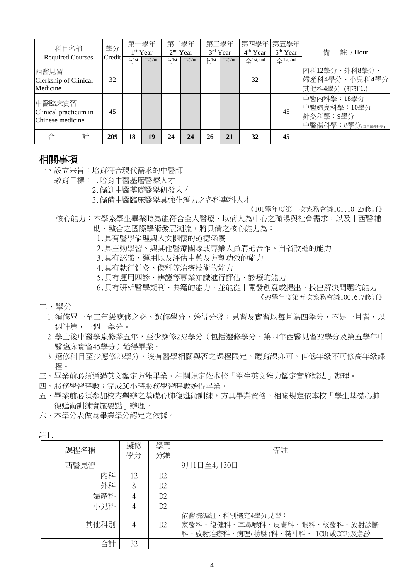| 科目名稱                                                | 學分<br>Credit | 第一學年<br>1 <sup>st</sup> Year |                              | 第二學年<br>$2nd$ Year |                              | 第三學年<br>3rd Year |                              | 4 <sup>th</sup> Year           | 第四學年 第五學年<br>5 <sup>th</sup> Year | 備<br>註 / Hour                                              |
|-----------------------------------------------------|--------------|------------------------------|------------------------------|--------------------|------------------------------|------------------|------------------------------|--------------------------------|-----------------------------------|------------------------------------------------------------|
| <b>Required Courses</b>                             |              | $\vdash$ 1st                 | $\overline{\mathcal{N}}$ 2nd | $\vdash$ 1st       | $\overline{\mathcal{N}}$ 2nd | $\vdash$ 1st     | $\overline{\mathcal{K}}$ 2nd | $\triangle$ <sup>1st,2nd</sup> | $\triangle$ <sup>1st,2nd</sup>    |                                                            |
| 西醫見習<br>Clerkship of Clinical<br>Medicine           | 32           |                              |                              |                    |                              |                  |                              | 32                             |                                   | 內科12學分、外科8學分、<br>婦產科4學分、小兒科4學分<br>其他科4學分 (詳註1.)            |
| 中醫臨床實習<br>Clinical practicum in<br>Chinese medicine | 45           |                              |                              |                    |                              |                  |                              |                                | 45                                | 中醫內科學:18學分<br>中醫婦兒科學: 10學分<br>針灸科學:9學分<br>中醫傷科學:8學分(金醫外科學) |
| 計<br>合                                              | 209          | 18                           | 19                           | 24                 | 24                           | 26               | 21                           | 32                             | 45                                |                                                            |

#### 相關事項

- 一、設立宗旨:培育符合現代需求的中醫師
	- 教育目標:1.培育中醫基層醫療人才
		- 2.儲訓中醫基礎醫學研發人才
		- 3.儲備中醫臨床醫學具強化潛力之各科專科人才

《101學年度第二次系務會議101.10.25修訂》

- 核心能力:本學系學生畢業時為能符合全人醫療、以病人為中心之職場與社會需求,以及中西醫輔 助、整合之國際學術發展潮流,將具備之核心能力為:
	- 1.具有醫學倫理與人文關懷的道德涵養
	- 2.具主動學習、與其他醫療團隊或專業人員溝通合作、自省改進的能力
	- 3.具有認識、運用以及評估中藥及方劑功效的能力
	- 4.具有執行針灸、傷科等治療技術的能力
	- 5.具有運用四診、辨證等專業知識進行評估、診療的能力
	- 6.具有研析醫學期刊、典籍的能力,並能從中開發創意或提出、找出解決問題的能力

《99學年度第五次系務會議100.6.7修訂》

二、學分

- 1.須修畢一至三年級應修之必、選修學分,始得分發;見習及實習以每月為四學分,不足一月者,以 週計算,一週一學分。
- 2.學士後中醫學系修業五年,至少應修232學分(包括選修學分、第四年西醫見習32學分及第五學年中 醫臨床實習45學分)始得畢業。
- 3.選修科目至少應修23學分,沒有醫學相關與否之課程限定,體育課亦可,但低年級不可修高年級課 程。
- 三、畢業前必須通過英文鑑定方能畢業。相關規定依本校「學生英文能力鑑定實施辦法」辦理。
- 四、服務學習時數:完成30小時服務學習時數始得畢業。
- 五、畢業前必須參加校內舉辦之基礎心肺復甦術訓練,方具畢業資格。相關規定依本校「學生基礎心肺 復甦術訓練實施要點」辦理。

六、本學分表做為畢業學分認定之依據。

註1.

| 課程名稱                   | 學分                     | 學門<br>灘              | 備許                                                                                    |  |  |  |  |  |
|------------------------|------------------------|----------------------|---------------------------------------------------------------------------------------|--|--|--|--|--|
| "翳見習<br>-------------- | ---------------------- | -------------------- | 9月1日至4月30日                                                                            |  |  |  |  |  |
|                        |                        |                      |                                                                                       |  |  |  |  |  |
|                        |                        |                      |                                                                                       |  |  |  |  |  |
|                        |                        |                      |                                                                                       |  |  |  |  |  |
|                        |                        |                      |                                                                                       |  |  |  |  |  |
| 其他科別                   |                        | D <sub>2</sub>       | 依醫院編組、科別撰定4學分見習:<br>家醫科、復健科、耳鼻喉科、皮膚科、眼科、核醫科、放射診斷<br>科、放射治療科、病理(檢驗)科、精神科、 ICU(或CCU)及急診 |  |  |  |  |  |
| ⇒訂                     |                        |                      |                                                                                       |  |  |  |  |  |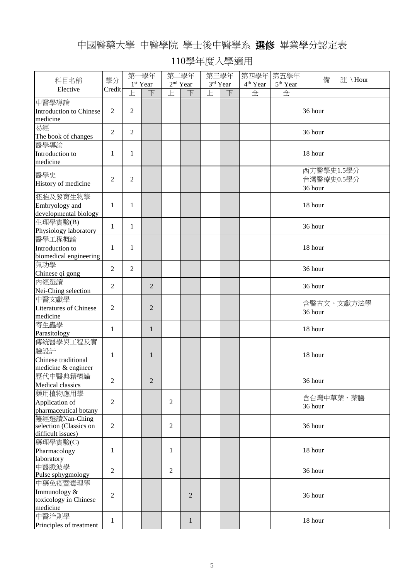## 中國醫藥大學 中醫學院 學士後中醫學系 選修 畢業學分認定表

|                                                                |                |                      | 第一學年           |                   | 第二學年           |          | 第三學年 | 第四學年 第五學年            |                      |                                     |
|----------------------------------------------------------------|----------------|----------------------|----------------|-------------------|----------------|----------|------|----------------------|----------------------|-------------------------------------|
| 科目名稱                                                           | 學分             | 1 <sup>st</sup> Year |                | $2^{\rm nd}$ Year |                | 3rd Year |      | 4 <sup>th</sup> Year | 5 <sup>th</sup> Year | 備<br>註 \Hour                        |
| Elective                                                       | Credit         | F                    | 下              | 上                 | 下              | 上        | 下    | 全                    | 全                    |                                     |
| 中醫學導論<br><b>Introduction to Chinese</b><br>medicine            | $\overline{c}$ | $\overline{2}$       |                |                   |                |          |      |                      |                      | 36 hour                             |
| 易經<br>The book of changes                                      | $\overline{c}$ | $\overline{2}$       |                |                   |                |          |      |                      |                      | 36 hour                             |
| 醫學導論<br>Introduction to<br>medicine                            | 1              | 1                    |                |                   |                |          |      |                      |                      | 18 hour                             |
| 醫學史<br>History of medicine                                     | $\overline{c}$ | $\overline{2}$       |                |                   |                |          |      |                      |                      | 西方醫學史1.5學分<br>台灣醫療史0.5學分<br>36 hour |
| 胚胎及發育生物學<br>Embryology and<br>developmental biology            | 1              | 1                    |                |                   |                |          |      |                      |                      | 18 hour                             |
| 生理學實驗(B)<br>Physiology laboratory                              | $\mathbf{1}$   | $\mathbf{1}$         |                |                   |                |          |      |                      |                      | 36 hour                             |
| 醫學工程概論<br>Introduction to<br>biomedical engineering            | 1              | 1                    |                |                   |                |          |      |                      |                      | 18 hour                             |
| 氣功學<br>Chinese qi gong                                         | $\overline{c}$ | $\overline{2}$       |                |                   |                |          |      |                      |                      | 36 hour                             |
| 內經選讀<br>Nei-Ching selection                                    | $\overline{c}$ |                      | 2              |                   |                |          |      |                      |                      | 36 hour                             |
| 中醫文獻學<br><b>Literatures of Chinese</b><br>medicine             | $\overline{c}$ |                      | $\overline{2}$ |                   |                |          |      |                      |                      | 含醫古文、文獻方法學<br>36 hour               |
| 寄生蟲學<br>Parasitology                                           | $\mathbf{1}$   |                      | $\mathbf{1}$   |                   |                |          |      |                      |                      | 18 hour                             |
| 傳統醫學與工程及實<br>驗設計<br>Chinese traditional<br>medicine & engineer | 1              |                      | 1              |                   |                |          |      |                      |                      | 18 hour                             |
| 歷代中醫典籍概論<br>Medical classics                                   | 2              |                      | 2              |                   |                |          |      |                      |                      | 36 hour                             |
| 藥用植物應用學<br>Application of<br>pharmaceutical botany             | $\overline{2}$ |                      |                | $\overline{2}$    |                |          |      |                      |                      | 含台灣中草藥、藥膳<br>36 hour                |
| 難經選讀Nan-Ching<br>selection (Classics on<br>difficult issues)   | $\overline{c}$ |                      |                | $\overline{2}$    |                |          |      |                      |                      | 36 hour                             |
| 藥理學實驗(C)<br>Pharmacology<br>laboratory                         | $\mathbf{1}$   |                      |                | 1                 |                |          |      |                      |                      | 18 hour                             |
| 中醫脈波學<br>Pulse sphygmology                                     | $\mathfrak{2}$ |                      |                | $\overline{c}$    |                |          |      |                      |                      | 36 hour                             |
| 中藥免疫暨毒理學<br>Immunology &<br>toxicology in Chinese<br>medicine  | $\mathfrak{2}$ |                      |                |                   | $\overline{2}$ |          |      |                      |                      | 36 hour                             |
| 中醫治則學<br>Principles of treatment                               | $\mathbf{1}$   |                      |                |                   | $\mathbf{1}$   |          |      |                      |                      | 18 hour                             |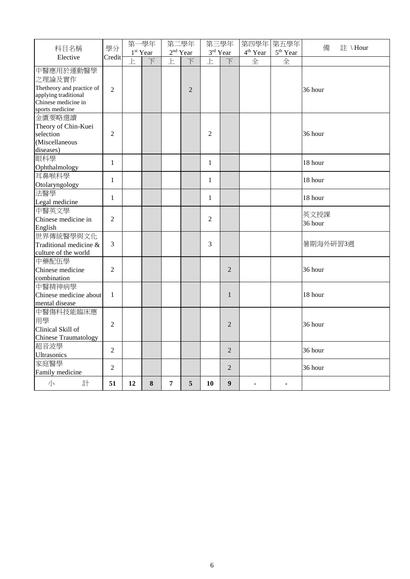|                                                                                                                    | 學分             | 第一學年           |                          | 第二學年                    |                          | 第三學年                    |                   | 第四學年 第五學年            |                      | 備<br>註 \Hour    |
|--------------------------------------------------------------------------------------------------------------------|----------------|----------------|--------------------------|-------------------------|--------------------------|-------------------------|-------------------|----------------------|----------------------|-----------------|
| 科目名稱                                                                                                               |                |                | 1 <sup>st</sup> Year     | $2^{\rm nd}$ Year       |                          |                         | $3^{\rm rd}$ Year | 4 <sup>th</sup> Year | 5 <sup>th</sup> Year |                 |
| Elective                                                                                                           | Credit         | $\overline{E}$ | $\overline{\mathcal{F}}$ | $\overline{\mathbb{F}}$ | $\overline{\mathcal{F}}$ | $\overline{\mathbb{E}}$ | $\overline{\top}$ | 全                    | 全                    |                 |
| 中醫應用於運動醫學<br>之理論及實作<br>Thetheory and practice of<br>applying traditional<br>Chinese medicine in<br>sports medicine | $\overline{2}$ |                |                          |                         | $\overline{2}$           |                         |                   |                      |                      | 36 hour         |
| 金匱要略選讀<br>Theory of Chin-Kuei<br>selection<br>(Miscellaneous<br>diseases)                                          | $\overline{2}$ |                |                          |                         |                          | $\overline{2}$          |                   |                      |                      | 36 hour         |
| 眼科學<br>Ophthalmology                                                                                               | $\mathbf{1}$   |                |                          |                         |                          | $\mathbf{1}$            |                   |                      |                      | 18 hour         |
| 耳鼻喉科學<br>Otolaryngology                                                                                            | $\mathbf{1}$   |                |                          |                         |                          | $\mathbf{1}$            |                   |                      |                      | 18 hour         |
| 法醫學<br>Legal medicine                                                                                              | $\mathbf{1}$   |                |                          |                         |                          | $\mathbf{1}$            |                   |                      |                      | 18 hour         |
| 中醫英文學<br>Chinese medicine in<br>English                                                                            | $\overline{2}$ |                |                          |                         |                          | $\overline{2}$          |                   |                      |                      | 英文授課<br>36 hour |
| 世界傳統醫學與文化<br>Traditional medicine &<br>culture of the world                                                        | 3              |                |                          |                         |                          | 3                       |                   |                      |                      | 暑期海外研習3週        |
| 中藥配伍學<br>Chinese medicine<br>combination                                                                           | $\overline{2}$ |                |                          |                         |                          |                         | $\overline{2}$    |                      |                      | 36 hour         |
| 中醫精神病學<br>Chinese medicine about<br>mental disease                                                                 | 1              |                |                          |                         |                          |                         | 1                 |                      |                      | 18 hour         |
| 中醫傷科技能臨床應<br>用學<br>Clinical Skill of<br>Chinese Traumatology                                                       | $\overline{2}$ |                |                          |                         |                          |                         | $\overline{2}$    |                      |                      | 36 hour         |
| 超音波學<br>Ultrasonics                                                                                                | $\overline{c}$ |                |                          |                         |                          |                         | $\overline{2}$    |                      |                      | 36 hour         |
| 家庭醫學<br>Family medicine                                                                                            | $\overline{2}$ |                |                          |                         |                          |                         | $\overline{2}$    |                      |                      | 36 hour         |
| 小<br>計                                                                                                             | 51             | 12             | 8                        | 7                       | 5                        | 10                      | $\boldsymbol{9}$  |                      |                      |                 |